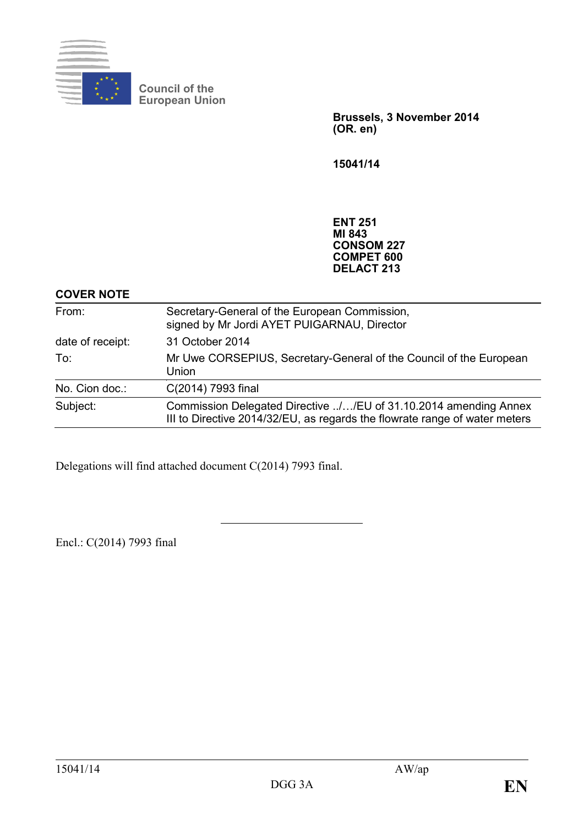

**Council of the European Union**

> **Brussels, 3 November 2014 (OR. en)**

**15041/14**

**ENT 251 MI 843 CONSOM 227 COMPET 600 DELACT 213**

## **COVER NOTE**

| From:            | Secretary-General of the European Commission,<br>signed by Mr Jordi AYET PUIGARNAU, Director                                                   |
|------------------|------------------------------------------------------------------------------------------------------------------------------------------------|
| date of receipt: | 31 October 2014                                                                                                                                |
| To:              | Mr Uwe CORSEPIUS, Secretary-General of the Council of the European<br>Union                                                                    |
| No. Cion doc.:   | C(2014) 7993 final                                                                                                                             |
| Subject:         | Commission Delegated Directive //EU of 31.10.2014 amending Annex<br>III to Directive 2014/32/EU, as regards the flowrate range of water meters |

Delegations will find attached document C(2014) 7993 final.

Encl.: C(2014) 7993 final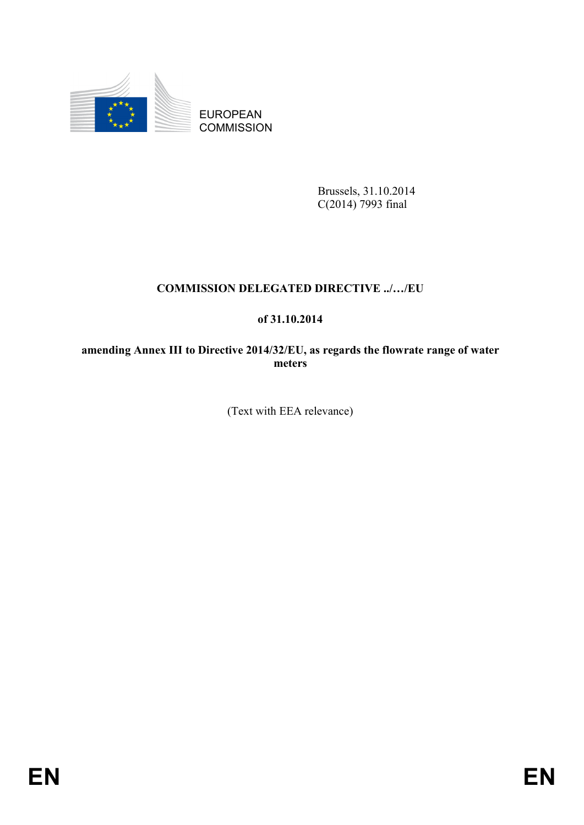

EUROPEAN **COMMISSION** 

> Brussels, 31.10.2014  $C(2014)$  7993 final

# **COMMISSION DELEGATED DIRECTIVE ../…/EU**

# **of 31.10.2014**

**amending Annex III to Directive 2014/32/EU, as regards the flowrate range of water meters**

(Text with EEA relevance)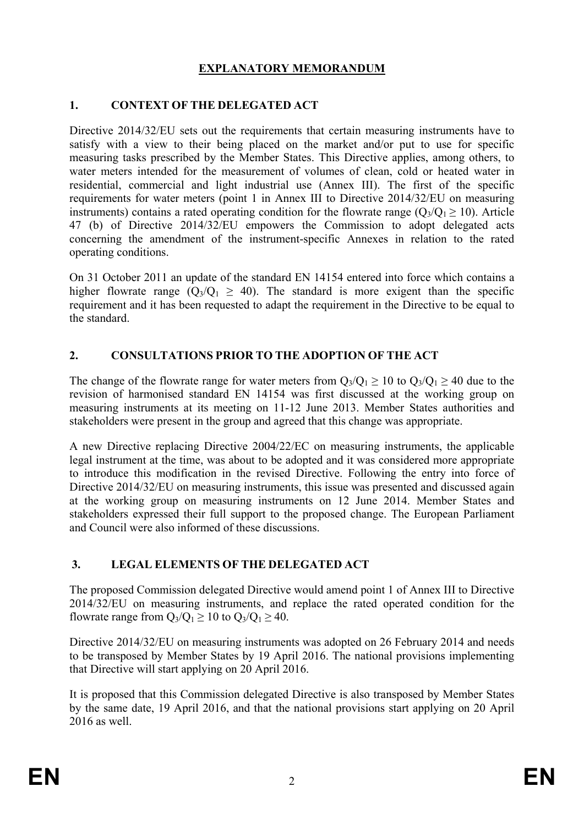# **EXPLANATORY MEMORANDUM**

## **1. CONTEXT OF THE DELEGATED ACT**

Directive 2014/32/EU sets out the requirements that certain measuring instruments have to satisfy with a view to their being placed on the market and/or put to use for specific measuring tasks prescribed by the Member States. This Directive applies, among others, to water meters intended for the measurement of volumes of clean, cold or heated water in residential, commercial and light industrial use (Annex III). The first of the specific requirements for water meters (point 1 in Annex III to Directive 2014/32/EU on measuring instruments) contains a rated operating condition for the flowrate range ( $Q_3/Q_1 \ge 10$ ). Article 47 (b) of Directive 2014/32/EU empowers the Commission to adopt delegated acts concerning the amendment of the instrument-specific Annexes in relation to the rated operating conditions.

On 31 October 2011 an update of the standard EN 14154 entered into force which contains a higher flowrate range  $(Q_3/Q_1 \geq 40)$ . The standard is more exigent than the specific requirement and it has been requested to adapt the requirement in the Directive to be equal to the standard.

## **2. CONSULTATIONS PRIOR TO THE ADOPTION OF THE ACT**

The change of the flowrate range for water meters from  $Q_3/Q_1 \ge 10$  to  $Q_3/Q_1 \ge 40$  due to the revision of harmonised standard EN 14154 was first discussed at the working group on measuring instruments at its meeting on 11-12 June 2013. Member States authorities and stakeholders were present in the group and agreed that this change was appropriate.

A new Directive replacing Directive 2004/22/EC on measuring instruments, the applicable legal instrument at the time, was about to be adopted and it was considered more appropriate to introduce this modification in the revised Directive. Following the entry into force of Directive 2014/32/EU on measuring instruments, this issue was presented and discussed again at the working group on measuring instruments on 12 June 2014. Member States and stakeholders expressed their full support to the proposed change. The European Parliament and Council were also informed of these discussions.

# **3. LEGAL ELEMENTS OF THE DELEGATED ACT**

The proposed Commission delegated Directive would amend point 1 of Annex III to Directive 2014/32/EU on measuring instruments, and replace the rated operated condition for the flowrate range from  $Q_3/Q_1 > 10$  to  $Q_3/Q_1 > 40$ .

Directive 2014/32/EU on measuring instruments was adopted on 26 February 2014 and needs to be transposed by Member States by 19 April 2016. The national provisions implementing that Directive will start applying on 20 April 2016.

It is proposed that this Commission delegated Directive is also transposed by Member States by the same date, 19 April 2016, and that the national provisions start applying on 20 April 2016 as well.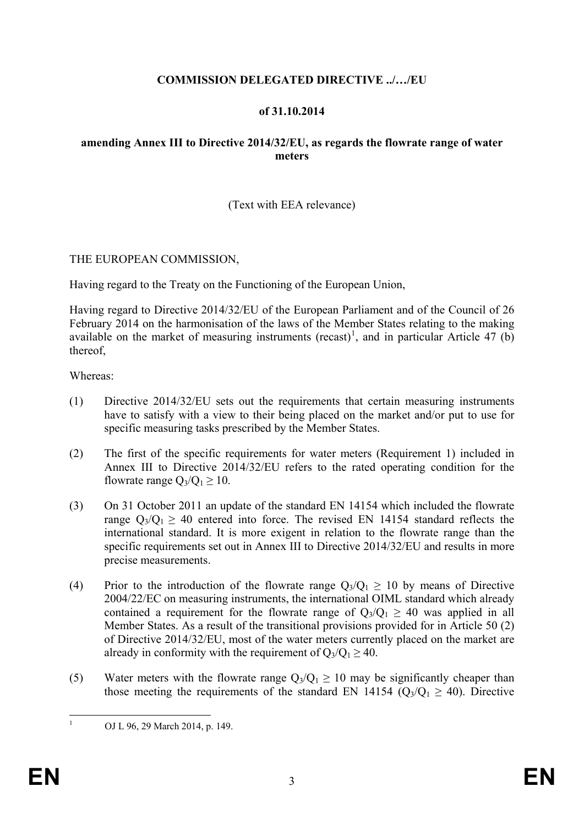# **COMMISSION DELEGATED DIRECTIVE ../…/EU**

#### **of 31.10.2014**

### **amending Annex III to Directive 2014/32/EU, as regards the flowrate range of water meters**

## (Text with EEA relevance)

#### THE EUROPEAN COMMISSION,

Having regard to the Treaty on the Functioning of the European Union,

Having regard to Directive 2014/32/EU of the European Parliament and of the Council of 26 February 2014 on the harmonisation of the laws of the Member States relating to the making available on the market of measuring instruments  $(recast)^1$  $(recast)^1$ , and in particular Article 47 (b) thereof,

Whereas:

- (1) Directive 2014/32/EU sets out the requirements that certain measuring instruments have to satisfy with a view to their being placed on the market and/or put to use for specific measuring tasks prescribed by the Member States.
- (2) The first of the specific requirements for water meters (Requirement 1) included in Annex III to Directive 2014/32/EU refers to the rated operating condition for the flowrate range  $Q_3/Q_1 \ge 10$ .
- (3) On 31 October 2011 an update of the standard EN 14154 which included the flowrate range  $Q_3/Q_1 \geq 40$  entered into force. The revised EN 14154 standard reflects the international standard. It is more exigent in relation to the flowrate range than the specific requirements set out in Annex III to Directive 2014/32/EU and results in more precise measurements.
- (4) Prior to the introduction of the flowrate range  $Q_3/Q_1 > 10$  by means of Directive 2004/22/EC on measuring instruments, the international OIML standard which already contained a requirement for the flowrate range of  $Q_3/Q_1 \geq 40$  was applied in all Member States. As a result of the transitional provisions provided for in Article 50 (2) of Directive 2014/32/EU, most of the water meters currently placed on the market are already in conformity with the requirement of  $Q_3/Q_1 \geq 40$ .
- (5) Water meters with the flowrate range  $Q_3/Q_1 \ge 10$  may be significantly cheaper than those meeting the requirements of the standard EN 14154 ( $Q_3/Q_1 \geq 40$ ). Directive

<span id="page-3-0"></span><sup>1</sup> OJ L 96, 29 March 2014, p. 149.  $\mathbf{1}$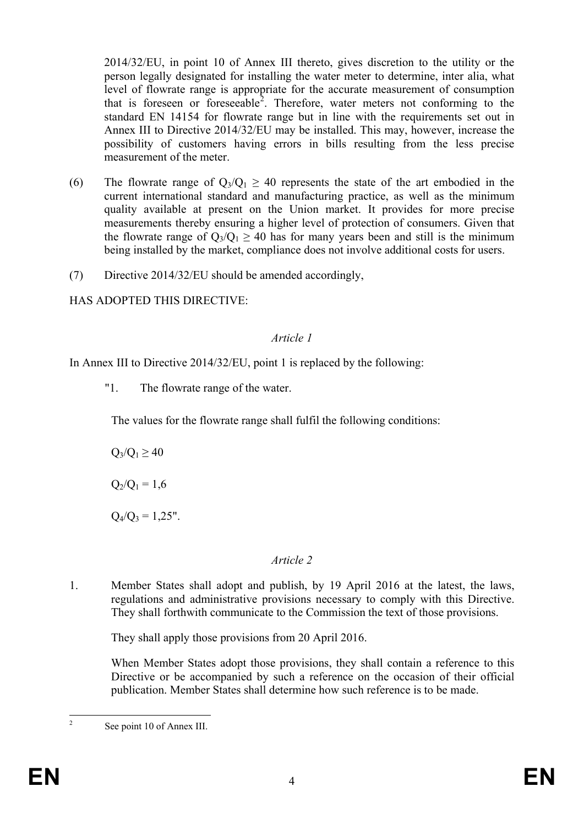2014/32/EU, in point 10 of Annex III thereto, gives discretion to the utility or the person legally designated for installing the water meter to determine, inter alia, what level of flowrate range is appropriate for the accurate measurement of consumption that is foreseen or foreseeable<sup>[2](#page-4-0)</sup>. Therefore, water meters not conforming to the standard EN 14154 for flowrate range but in line with the requirements set out in Annex III to Directive 2014/32/EU may be installed. This may, however, increase the possibility of customers having errors in bills resulting from the less precise measurement of the meter.

- (6) The flowrate range of  $Q_3/Q_1 \geq 40$  represents the state of the art embodied in the current international standard and manufacturing practice, as well as the minimum quality available at present on the Union market. It provides for more precise measurements thereby ensuring a higher level of protection of consumers. Given that the flowrate range of  $Q_3/Q_1 \geq 40$  has for many years been and still is the minimum being installed by the market, compliance does not involve additional costs for users.
- (7) Directive 2014/32/EU should be amended accordingly,

HAS ADOPTED THIS DIRECTIVE:

### *Article 1*

In Annex III to Directive 2014/32/EU, point 1 is replaced by the following:

"1. The flowrate range of the water.

The values for the flowrate range shall fulfil the following conditions:

$$
Q_3/Q_1 \geq 40
$$

 $Q_2/Q_1 = 1,6$ 

 $Q_4/Q_3 = 1,25"$ .

#### *Article 2*

1. Member States shall adopt and publish, by 19 April 2016 at the latest, the laws, regulations and administrative provisions necessary to comply with this Directive. They shall forthwith communicate to the Commission the text of those provisions.

They shall apply those provisions from 20 April 2016.

When Member States adopt those provisions, they shall contain a reference to this Directive or be accompanied by such a reference on the occasion of their official publication. Member States shall determine how such reference is to be made.

<span id="page-4-0"></span>See point 10 of Annex III.  $\overline{2}$